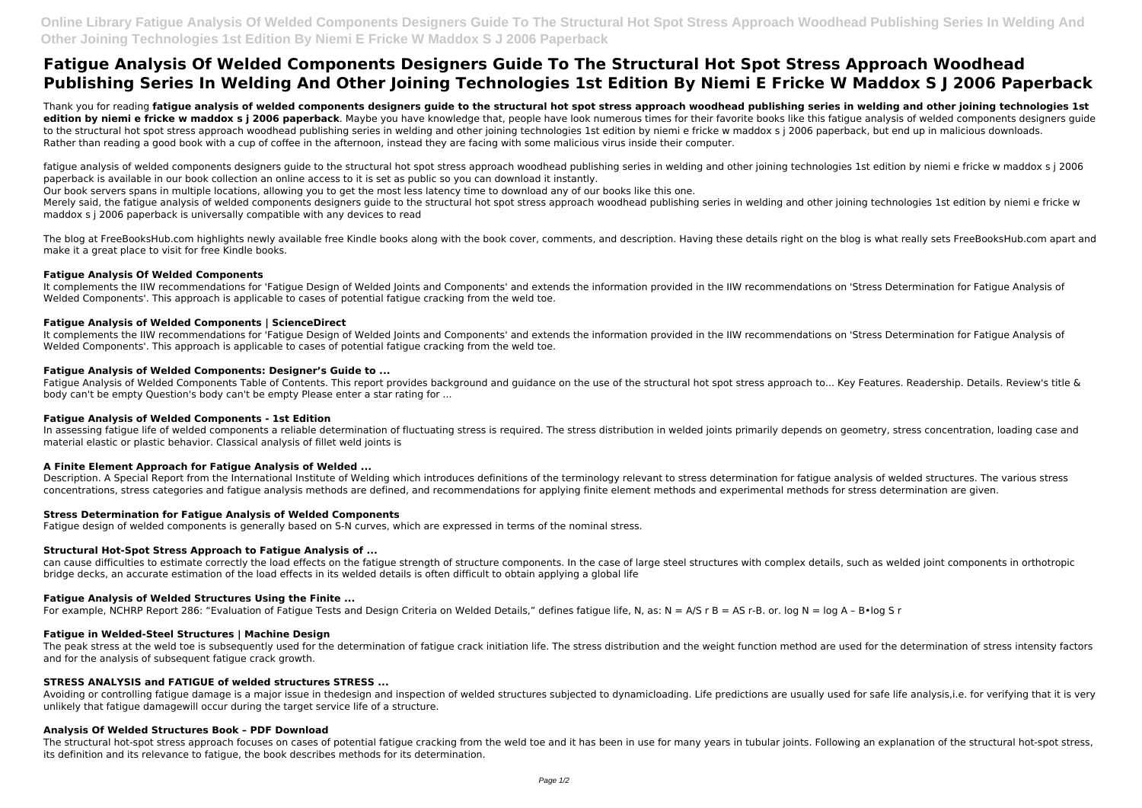**Online Library Fatigue Analysis Of Welded Components Designers Guide To The Structural Hot Spot Stress Approach Woodhead Publishing Series In Welding And Other Joining Technologies 1st Edition By Niemi E Fricke W Maddox S J 2006 Paperback**

# **Fatigue Analysis Of Welded Components Designers Guide To The Structural Hot Spot Stress Approach Woodhead Publishing Series In Welding And Other Joining Technologies 1st Edition By Niemi E Fricke W Maddox S J 2006 Paperback**

fatigue analysis of welded components designers quide to the structural hot spot stress approach woodhead publishing series in welding and other joining technologies 1st edition by niemi e fricke w maddox s j 2006 paperback is available in our book collection an online access to it is set as public so you can download it instantly.

Thank you for reading **fatigue analysis of welded components designers guide to the structural hot spot stress approach woodhead publishing series in welding and other joining technologies 1st edition by niemi e fricke w maddox s j 2006 paperback**. Maybe you have knowledge that, people have look numerous times for their favorite books like this fatigue analysis of welded components designers quide to the structural hot spot stress approach woodhead publishing series in welding and other joining technologies 1st edition by niemi e fricke w maddox s j 2006 paperback, but end up in malicious downloads. Rather than reading a good book with a cup of coffee in the afternoon, instead they are facing with some malicious virus inside their computer.

Merely said, the fatigue analysis of welded components designers guide to the structural hot spot stress approach woodhead publishing series in welding and other joining technologies 1st edition by niemi e fricke w maddox s j 2006 paperback is universally compatible with any devices to read

The blog at FreeBooksHub.com highlights newly available free Kindle books along with the book cover, comments, and description. Having these details right on the blog is what really sets FreeBooksHub.com apart and make it a great place to visit for free Kindle books.

It complements the IIW recommendations for 'Fatigue Design of Welded Joints and Components' and extends the information provided in the IIW recommendations on 'Stress Determination for Fatigue Analysis of Welded Components'. This approach is applicable to cases of potential fatigue cracking from the weld toe.

It complements the IIW recommendations for 'Fatigue Design of Welded Joints and Components' and extends the information provided in the IIW recommendations on 'Stress Determination for Fatigue Analysis of Welded Components'. This approach is applicable to cases of potential fatigue cracking from the weld toe.

Our book servers spans in multiple locations, allowing you to get the most less latency time to download any of our books like this one.

Fatigue Analysis of Welded Components Table of Contents. This report provides background and quidance on the use of the structural hot spot stress approach to... Key Features. Readership. Details. Review's title & body can't be empty Question's body can't be empty Please enter a star rating for ...

# **Fatigue Analysis Of Welded Components**

can cause difficulties to estimate correctly the load effects on the fatigue strength of structure components. In the case of large steel structures with complex details, such as welded joint components in orthotropic bridge decks, an accurate estimation of the load effects in its welded details is often difficult to obtain applying a global life

# **Fatigue Analysis of Welded Components | ScienceDirect**

The peak stress at the weld toe is subsequently used for the determination of fatigue crack initiation life. The stress distribution and the weight function method are used for the determination of stress intensity factors and for the analysis of subsequent fatigue crack growth.

Avoiding or controlling fatigue damage is a major issue in thedesign and inspection of welded structures subjected to dynamicloading. Life predictions are usually used for safe life analysis, i.e. for verifying that it is unlikely that fatigue damagewill occur during the target service life of a structure.

# **Fatigue Analysis of Welded Components: Designer's Guide to ...**

#### **Fatigue Analysis of Welded Components - 1st Edition**

In assessing fatigue life of welded components a reliable determination of fluctuating stress is required. The stress distribution in welded joints primarily depends on geometry, stress concentration, loading case and material elastic or plastic behavior. Classical analysis of fillet weld joints is

#### **A Finite Element Approach for Fatigue Analysis of Welded ...**

Description. A Special Report from the International Institute of Welding which introduces definitions of the terminology relevant to stress determination for fatigue analysis of welded structures. The various stress concentrations, stress categories and fatigue analysis methods are defined, and recommendations for applying finite element methods and experimental methods for stress determination are given.

#### **Stress Determination for Fatigue Analysis of Welded Components**

Fatigue design of welded components is generally based on S-N curves, which are expressed in terms of the nominal stress.

#### **Structural Hot-Spot Stress Approach to Fatigue Analysis of ...**

#### **Fatigue Analysis of Welded Structures Using the Finite ...**

For example, NCHRP Report 286: "Evaluation of Fatigue Tests and Design Criteria on Welded Details," defines fatigue life, N, as: N = A/S r B = AS r-B. or. log N = log A - B•log S r

#### **Fatigue in Welded-Steel Structures | Machine Design**

#### **STRESS ANALYSIS and FATIGUE of welded structures STRESS ...**

# **Analysis Of Welded Structures Book – PDF Download**

The structural hot-spot stress approach focuses on cases of potential fatigue cracking from the weld toe and it has been in use for many years in tubular joints. Following an explanation of the structural hot-spot stress, its definition and its relevance to fatigue, the book describes methods for its determination.